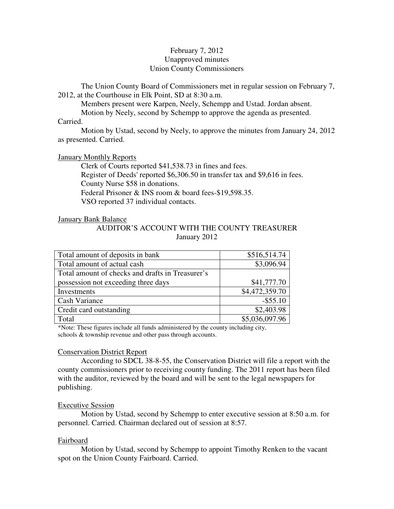# February 7, 2012 Unapproved minutes Union County Commissioners

The Union County Board of Commissioners met in regular session on February 7, 2012, at the Courthouse in Elk Point, SD at 8:30 a.m.

Members present were Karpen, Neely, Schempp and Ustad. Jordan absent.

Motion by Neely, second by Schempp to approve the agenda as presented.

#### Carried.

 Motion by Ustad, second by Neely, to approve the minutes from January 24, 2012 as presented. Carried.

### January Monthly Reports

 Clerk of Courts reported \$41,538.73 in fines and fees. Register of Deeds' reported \$6,306.50 in transfer tax and \$9,616 in fees. County Nurse \$58 in donations. Federal Prisoner & INS room & board fees-\$19,598.35. VSO reported 37 individual contacts.

### January Bank Balance

AUDITOR'S ACCOUNT WITH THE COUNTY TREASURER January 2012

| Total amount of deposits in bank                 | \$516,514.74   |
|--------------------------------------------------|----------------|
| Total amount of actual cash                      | \$3,096.94     |
| Total amount of checks and drafts in Treasurer's |                |
| possession not exceeding three days              | \$41,777.70    |
| Investments                                      | \$4,472,359.70 |
| <b>Cash Variance</b>                             | $-$ \$55.10    |
| Credit card outstanding                          | \$2,403.98     |
| Total                                            | \$5,036,097.96 |

\*Note: These figures include all funds administered by the county including city, schools & township revenue and other pass through accounts.

# Conservation District Report

 According to SDCL 38-8-55, the Conservation District will file a report with the county commissioners prior to receiving county funding. The 2011 report has been filed with the auditor, reviewed by the board and will be sent to the legal newspapers for publishing.

# Executive Session

 Motion by Ustad, second by Schempp to enter executive session at 8:50 a.m. for personnel. Carried. Chairman declared out of session at 8:57.

#### Fairboard

 Motion by Ustad, second by Schempp to appoint Timothy Renken to the vacant spot on the Union County Fairboard. Carried.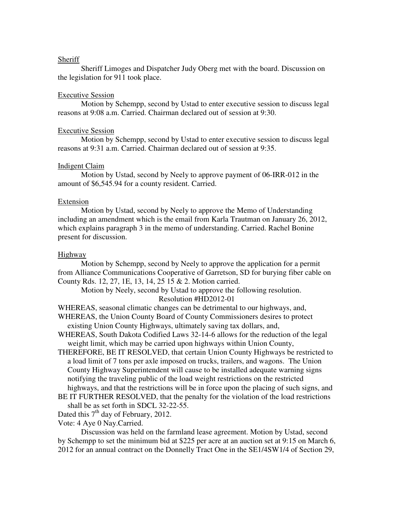#### **Sheriff**

 Sheriff Limoges and Dispatcher Judy Oberg met with the board. Discussion on the legislation for 911 took place.

#### Executive Session

 Motion by Schempp, second by Ustad to enter executive session to discuss legal reasons at 9:08 a.m. Carried. Chairman declared out of session at 9:30.

#### Executive Session

 Motion by Schempp, second by Ustad to enter executive session to discuss legal reasons at 9:31 a.m. Carried. Chairman declared out of session at 9:35.

#### Indigent Claim

 Motion by Ustad, second by Neely to approve payment of 06-IRR-012 in the amount of \$6,545.94 for a county resident. Carried.

#### Extension

 Motion by Ustad, second by Neely to approve the Memo of Understanding including an amendment which is the email from Karla Trautman on January 26, 2012, which explains paragraph 3 in the memo of understanding. Carried. Rachel Bonine present for discussion.

#### Highway

 Motion by Schempp, second by Neely to approve the application for a permit from Alliance Communications Cooperative of Garretson, SD for burying fiber cable on County Rds. 12, 27, 1E, 13, 14, 25 15 & 2. Motion carried.

 Motion by Neely, second by Ustad to approve the following resolution. Resolution #HD2012-01

WHEREAS, seasonal climatic changes can be detrimental to our highways, and,

- WHEREAS, the Union County Board of County Commissioners desires to protect existing Union County Highways, ultimately saving tax dollars, and,
- WHEREAS, South Dakota Codified Laws 32-14-6 allows for the reduction of the legal weight limit, which may be carried upon highways within Union County,
- THEREFORE, BE IT RESOLVED, that certain Union County Highways be restricted to a load limit of 7 tons per axle imposed on trucks, trailers, and wagons. The Union County Highway Superintendent will cause to be installed adequate warning signs notifying the traveling public of the load weight restrictions on the restricted highways, and that the restrictions will be in force upon the placing of such signs, and
- BE IT FURTHER RESOLVED, that the penalty for the violation of the load restrictions shall be as set forth in SDCL 32-22-55.
- Dated this  $7<sup>th</sup>$  day of February, 2012.

Vote: 4 Aye 0 Nay.Carried.

Discussion was held on the farmland lease agreement. Motion by Ustad, second by Schempp to set the minimum bid at \$225 per acre at an auction set at 9:15 on March 6, 2012 for an annual contract on the Donnelly Tract One in the SE1/4SW1/4 of Section 29,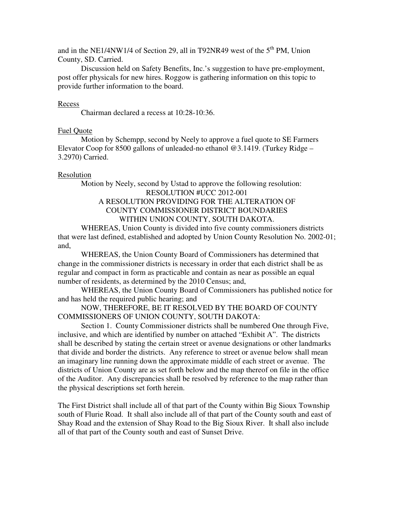and in the NE1/4NW1/4 of Section 29, all in T92NR49 west of the  $5<sup>th</sup>$  PM. Union County, SD. Carried.

 Discussion held on Safety Benefits, Inc.'s suggestion to have pre-employment, post offer physicals for new hires. Roggow is gathering information on this topic to provide further information to the board.

### Recess

Chairman declared a recess at 10:28-10:36.

### Fuel Quote

 Motion by Schempp, second by Neely to approve a fuel quote to SE Farmers Elevator Coop for 8500 gallons of unleaded-no ethanol @3.1419. (Turkey Ridge – 3.2970) Carried.

# Resolution

 Motion by Neely, second by Ustad to approve the following resolution: RESOLUTION #UCC 2012-001 A RESOLUTION PROVIDING FOR THE ALTERATION OF COUNTY COMMISSIONER DISTRICT BOUNDARIES WITHIN UNION COUNTY, SOUTH DAKOTA. WHEREAS, Union County is divided into five county commissioners districts that were last defined, established and adopted by Union County Resolution No. 2002-01;

and, WHEREAS, the Union County Board of Commissioners has determined that change in the commissioner districts is necessary in order that each district shall be as

regular and compact in form as practicable and contain as near as possible an equal number of residents, as determined by the 2010 Census; and,

WHEREAS, the Union County Board of Commissioners has published notice for and has held the required public hearing; and

NOW, THEREFORE, BE IT RESOLVED BY THE BOARD OF COUNTY COMMISSIONERS OF UNION COUNTY, SOUTH DAKOTA:

Section 1. County Commissioner districts shall be numbered One through Five, inclusive, and which are identified by number on attached "Exhibit A". The districts shall be described by stating the certain street or avenue designations or other landmarks that divide and border the districts. Any reference to street or avenue below shall mean an imaginary line running down the approximate middle of each street or avenue. The districts of Union County are as set forth below and the map thereof on file in the office of the Auditor. Any discrepancies shall be resolved by reference to the map rather than the physical descriptions set forth herein.

The First District shall include all of that part of the County within Big Sioux Township south of Flurie Road. It shall also include all of that part of the County south and east of Shay Road and the extension of Shay Road to the Big Sioux River. It shall also include all of that part of the County south and east of Sunset Drive.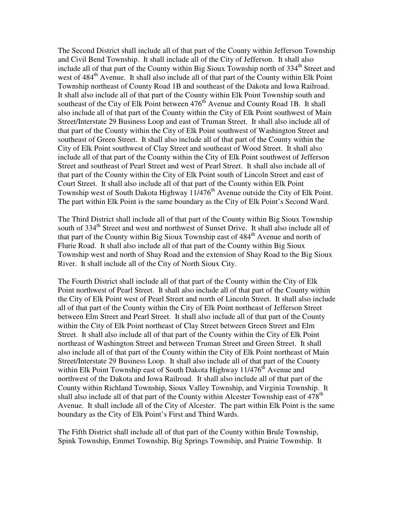The Second District shall include all of that part of the County within Jefferson Township and Civil Bend Township. It shall include all of the City of Jefferson. It shall also include all of that part of the County within Big Sioux Township north of 334<sup>th</sup> Street and west of  $484<sup>th</sup>$  Avenue. It shall also include all of that part of the County within Elk Point Township northeast of County Road 1B and southeast of the Dakota and Iowa Railroad. It shall also include all of that part of the County within Elk Point Township south and southeast of the City of Elk Point between 476<sup>th</sup> Avenue and County Road 1B. It shall also include all of that part of the County within the City of Elk Point southwest of Main Street/Interstate 29 Business Loop and east of Truman Street. It shall also include all of that part of the County within the City of Elk Point southwest of Washington Street and southeast of Green Street. It shall also include all of that part of the County within the City of Elk Point southwest of Clay Street and southeast of Wood Street. It shall also include all of that part of the County within the City of Elk Point southwest of Jefferson Street and southeast of Pearl Street and west of Pearl Street. It shall also include all of that part of the County within the City of Elk Point south of Lincoln Street and east of Court Street. It shall also include all of that part of the County within Elk Point Township west of South Dakota Highway  $11/476<sup>th</sup>$  Avenue outside the City of Elk Point. The part within Elk Point is the same boundary as the City of Elk Point's Second Ward.

The Third District shall include all of that part of the County within Big Sioux Township south of 334<sup>th</sup> Street and west and northwest of Sunset Drive. It shall also include all of that part of the County within Big Sioux Township east of 484<sup>th</sup> Avenue and north of Flurie Road. It shall also include all of that part of the County within Big Sioux Township west and north of Shay Road and the extension of Shay Road to the Big Sioux River. It shall include all of the City of North Sioux City.

The Fourth District shall include all of that part of the County within the City of Elk Point northwest of Pearl Street. It shall also include all of that part of the County within the City of Elk Point west of Pearl Street and north of Lincoln Street. It shall also include all of that part of the County within the City of Elk Point northeast of Jefferson Street between Elm Street and Pearl Street. It shall also include all of that part of the County within the City of Elk Point northeast of Clay Street between Green Street and Elm Street. It shall also include all of that part of the County within the City of Elk Point northeast of Washington Street and between Truman Street and Green Street. It shall also include all of that part of the County within the City of Elk Point northeast of Main Street/Interstate 29 Business Loop. It shall also include all of that part of the County within Elk Point Township east of South Dakota Highway 11/476<sup>th</sup> Avenue and northwest of the Dakota and Iowa Railroad. It shall also include all of that part of the County within Richland Township, Sioux Valley Township, and Virginia Township. It shall also include all of that part of the County within Alcester Township east of  $478<sup>th</sup>$ Avenue. It shall include all of the City of Alcester. The part within Elk Point is the same boundary as the City of Elk Point's First and Third Wards.

The Fifth District shall include all of that part of the County within Brule Township, Spink Township, Emmet Township, Big Springs Township, and Prairie Township. It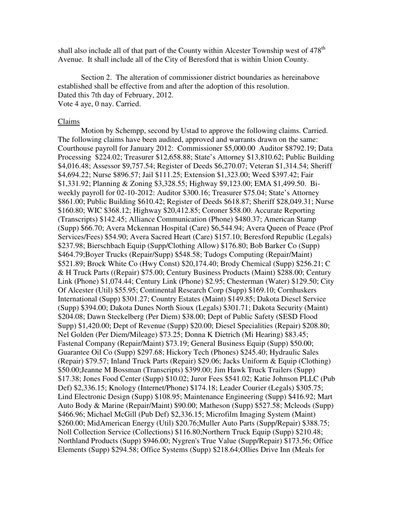shall also include all of that part of the County within Alcester Township west of  $478<sup>th</sup>$ Avenue. It shall include all of the City of Beresford that is within Union County.

Section 2. The alteration of commissioner district boundaries as hereinabove established shall be effective from and after the adoption of this resolution. Dated this 7th day of February, 2012. Vote 4 aye, 0 nay. Carried.

#### Claims

 Motion by Schempp, second by Ustad to approve the following claims. Carried. The following claims have been audited, approved and warrants drawn on the same: Courthouse payroll for January 2012: Commissioner \$5,000.00 Auditor \$8792.19; Data Processing \$224.02; Treasurer \$12,658.88; State's Attorney \$13,810.62; Public Building \$4,016.48; Assessor \$9,757.54; Register of Deeds \$6,270.07; Veteran \$1,314.54; Sheriff \$4,694.22; Nurse \$896.57; Jail \$111.25; Extension \$1,323.00; Weed \$397.42; Fair \$1,331.92; Planning & Zoning \$3,328.55; Highway \$9,123.00; EMA \$1,499.50. Biweekly payroll for 02-10-2012: Auditor \$300.16; Treasurer \$75.04; State's Attorney \$861.00; Public Building \$610.42; Register of Deeds \$618.87; Sheriff \$28,049.31; Nurse \$160.80; WIC \$368.12; Highway \$20,412.85; Coroner \$58.00. Accurate Reporting (Transcripts) \$142.45; Alliance Communication (Phone) \$480.37; American Stamp (Supp) \$66.70; Avera Mckennan Hospital (Care) \$6,544.94; Avera Queen of Peace (Prof Services/Fees) \$54.90; Avera Sacred Heart (Care) \$157.10; Beresford Republic (Legals) \$237.98; Bierschbach Equip (Supp/Clothing Allow) \$176.80; Bob Barker Co (Supp) \$464.79;Boyer Trucks (Repair/Supp) \$548.58; Tudogs Computing (Repair/Maint) \$521.89; Brock White Co (Hwy Const) \$20,174.40; Brody Chemical (Supp) \$256.21; C & H Truck Parts ((Repair) \$75.00; Century Business Products (Maint) \$288.00; Century Link (Phone) \$1,074.44; Century Link (Phone) \$2.95; Chesterman (Water) \$129.50; City Of Alcester (Util) \$55.95; Continental Research Corp (Supp) \$169.10; Cornhuskers International (Supp) \$301.27; Country Estates (Maint) \$149.85; Dakota Diesel Service (Supp) \$394.00; Dakota Dunes North Sioux (Legals) \$301.71; Dakota Security (Maint) \$204.08; Dawn Steckelberg (Per Diem) \$38.00; Dept of Public Safety (SESD Flood Supp) \$1,420.00; Dept of Revenue (Supp) \$20.00; Diesel Specialities (Repair) \$208.80; Nel Golden (Per Diem/Mileage) \$73.25; Donna K Dietrich (Mi Hearing) \$83.45; Fastenal Company (Repair/Maint) \$73.19; General Business Equip (Supp) \$50.00; Guarantee Oil Co (Supp) \$297.68; Hickory Tech (Phones) \$245.40; Hydraulic Sales (Repair) \$79.57; Inland Truck Parts (Repair) \$29.06; Jacks Uniform & Equip (Clothing) \$50.00;Jeanne M Bossman (Transcripts) \$399.00; Jim Hawk Truck Trailers (Supp) \$17.38; Jones Food Center (Supp) \$10.02; Juror Fees \$541.02; Katie Johnson PLLC (Pub Def) \$2,336.15; Knology (Internet/Phone) \$174.18; Leader Courier (Legals) \$305.75; Lind Electronic Design (Supp) \$108.95; Maintenance Engineering (Supp) \$416.92; Mart Auto Body & Marine (Repair/Maint) \$90.00; Matheson (Supp) \$527.58; Mcleods (Supp) \$466.96; Michael McGill (Pub Def) \$2,336.15; Microfilm Imaging System (Maint) \$260.00; MidAmerican Energy (Util) \$20.76;Muller Auto Parts (Supp/Repair) \$388.75; Noll Collection Service (Collections) \$116.80;Northern Truck Equip (Supp) \$210.48; Northland Products (Supp) \$946.00; Nygren's True Value (Supp/Repair) \$173.56; Office Elements (Supp) \$294.58; Office Systems (Supp) \$218.64;Ollies Drive Inn (Meals for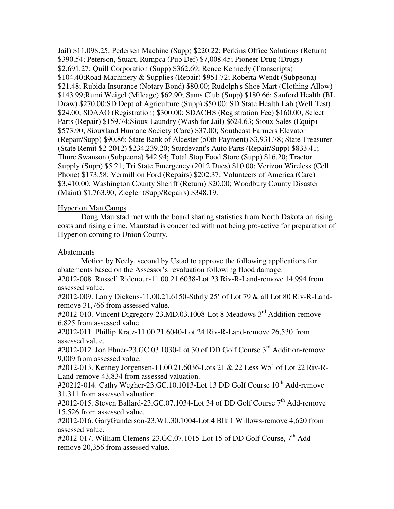Jail) \$11,098.25; Pedersen Machine (Supp) \$220.22; Perkins Office Solutions (Return) \$390.54; Peterson, Stuart, Rumpca (Pub Def) \$7,008.45; Pioneer Drug (Drugs) \$2,691.27; Quill Corporation (Supp) \$362.69; Renee Kennedy (Transcripts) \$104.40;Road Machinery & Supplies (Repair) \$951.72; Roberta Wendt (Subpeona) \$21.48; Rubida Insurance (Notary Bond) \$80.00; Rudolph's Shoe Mart (Clothing Allow) \$143.99;Rumi Weigel (Mileage) \$62.90; Sams Club (Supp) \$180.66; Sanford Health (BL Draw) \$270.00;SD Dept of Agriculture (Supp) \$50.00; SD State Health Lab (Well Test) \$24.00; SDAAO (Registration) \$300.00; SDACHS (Registration Fee) \$160.00; Select Parts (Repair) \$159.74;Sioux Laundry (Wash for Jail) \$624.63; Sioux Sales (Equip) \$573.90; Siouxland Humane Society (Care) \$37.00; Southeast Farmers Elevator (Repair/Supp) \$90.86; State Bank of Alcester (50th Payment) \$3,931.78; State Treasurer (State Remit \$2-2012) \$234,239.20; Sturdevant's Auto Parts (Repair/Supp) \$833.41; Thure Swanson (Subpeona) \$42.94; Total Stop Food Store (Supp) \$16.20; Tractor Supply (Supp) \$5.21; Tri State Emergency (2012 Dues) \$10.00; Verizon Wireless (Cell Phone) \$173.58; Vermillion Ford (Repairs) \$202.37; Volunteers of America (Care) \$3,410.00; Washington County Sheriff (Return) \$20.00; Woodbury County Disaster (Maint) \$1,763.90; Ziegler (Supp/Repairs) \$348.19.

# Hyperion Man Camps

 Doug Maurstad met with the board sharing statistics from North Dakota on rising costs and rising crime. Maurstad is concerned with not being pro-active for preparation of Hyperion coming to Union County.

# Abatements

 Motion by Neely, second by Ustad to approve the following applications for abatements based on the Assessor's revaluation following flood damage:

#2012-008. Russell Ridenour-11.00.21.6038-Lot 23 Riv-R-Land-remove 14,994 from assessed value.

#2012-009. Larry Dickens-11.00.21.6150-Sthrly 25' of Lot 79 & all Lot 80 Riv-R-Landremove 31,766 from assessed value.

#2012-010. Vincent Digregory-23.MD.03.1008-Lot 8 Meadows 3<sup>rd</sup> Addition-remove 6,825 from assessed value.

#2012-011. Phillip Kratz-11.00.21.6040-Lot 24 Riv-R-Land-remove 26,530 from assessed value.

#2012-012. Jon Ebner-23.GC.03.1030-Lot 30 of DD Golf Course 3<sup>rd</sup> Addition-remove 9,009 from assessed value.

#2012-013. Kenney Jorgensen-11.00.21.6036-Lots 21 & 22 Less W5' of Lot 22 Riv-R-Land-remove 43,834 from assessed valuation.

#20212-014. Cathy Wegher-23.GC.10.1013-Lot 13 DD Golf Course 10<sup>th</sup> Add-remove 31,311 from assessed valuation.

 $\text{\#2012-015.}$  Steven Ballard-23.GC.07.1034-Lot 34 of DD Golf Course  $7^{\text{th}}$  Add-remove 15,526 from assessed value.

#2012-016. GaryGunderson-23.WL.30.1004-Lot 4 Blk 1 Willows-remove 4,620 from assessed value.

#2012-017. William Clemens-23.GC.07.1015-Lot 15 of DD Golf Course, 7<sup>th</sup> Addremove 20,356 from assessed value.